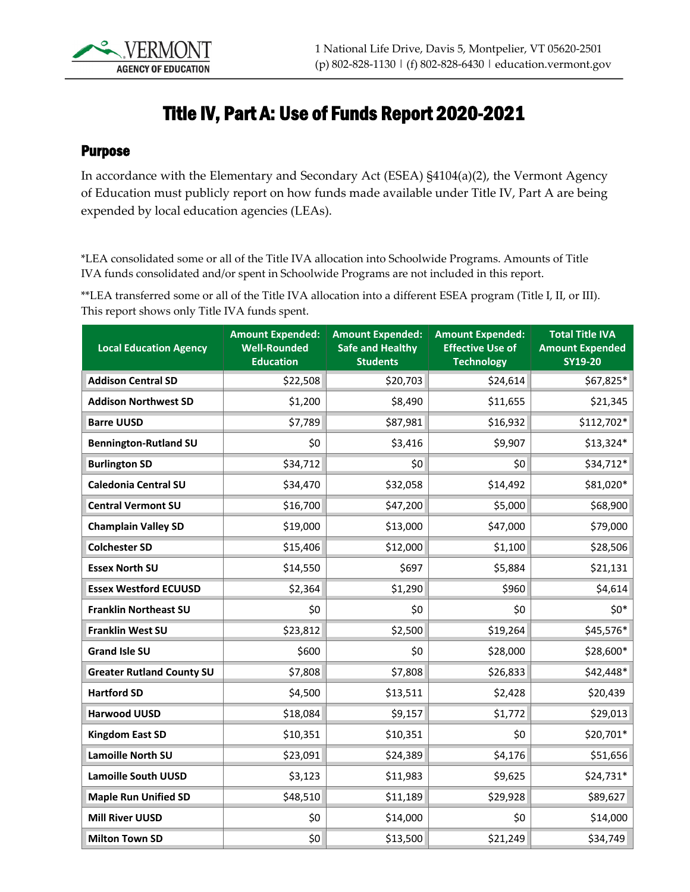

## Title IV, Part A: Use of Funds Report 2020-2021

## Purpose

In accordance with the Elementary and Secondary Act (ESEA) §4104(a)(2), the Vermont Agency of Education must publicly report on how funds made available under Title IV, Part A are being expended by local education agencies (LEAs).

\*LEA consolidated some or all of the Title IVA allocation into Schoolwide Programs. Amounts of Title IVA funds consolidated and/or spent in Schoolwide Programs are not included in this report.

\*\*LEA transferred some or all of the Title IVA allocation into a different ESEA program (Title I, II, or III). This report shows only Title IVA funds spent.

| <b>Local Education Agency</b>    | <b>Amount Expended:</b><br><b>Well-Rounded</b><br><b>Education</b> | <b>Amount Expended:</b><br><b>Safe and Healthy</b><br><b>Students</b> | <b>Amount Expended:</b><br><b>Effective Use of</b><br><b>Technology</b> | <b>Total Title IVA</b><br><b>Amount Expended</b><br>SY19-20 |
|----------------------------------|--------------------------------------------------------------------|-----------------------------------------------------------------------|-------------------------------------------------------------------------|-------------------------------------------------------------|
| <b>Addison Central SD</b>        | \$22,508                                                           | \$20,703                                                              | \$24,614                                                                | \$67,825*                                                   |
| <b>Addison Northwest SD</b>      | \$1,200                                                            | \$8,490                                                               | \$11,655                                                                | \$21,345                                                    |
| <b>Barre UUSD</b>                | \$7,789                                                            | \$87,981                                                              | \$16,932                                                                | \$112,702*                                                  |
| <b>Bennington-Rutland SU</b>     | \$0                                                                | \$3,416                                                               | \$9,907                                                                 | \$13,324*                                                   |
| <b>Burlington SD</b>             | \$34,712                                                           | \$0                                                                   | \$0                                                                     | \$34,712*                                                   |
| <b>Caledonia Central SU</b>      | \$34,470                                                           | \$32,058                                                              | \$14,492                                                                | \$81,020*                                                   |
| <b>Central Vermont SU</b>        | \$16,700                                                           | \$47,200                                                              | \$5,000                                                                 | \$68,900                                                    |
| <b>Champlain Valley SD</b>       | \$19,000                                                           | \$13,000                                                              | \$47,000                                                                | \$79,000                                                    |
| <b>Colchester SD</b>             | \$15,406                                                           | \$12,000                                                              | \$1,100                                                                 | \$28,506                                                    |
| <b>Essex North SU</b>            | \$14,550                                                           | \$697                                                                 | \$5,884                                                                 | \$21,131                                                    |
| <b>Essex Westford ECUUSD</b>     | \$2,364                                                            | \$1,290                                                               | \$960                                                                   | \$4,614                                                     |
| <b>Franklin Northeast SU</b>     | \$0                                                                | \$0                                                                   | \$0                                                                     | $$0*$                                                       |
| <b>Franklin West SU</b>          | \$23,812                                                           | \$2,500                                                               | \$19,264                                                                | \$45,576*                                                   |
| <b>Grand Isle SU</b>             | \$600                                                              | \$0                                                                   | \$28,000                                                                | \$28,600*                                                   |
| <b>Greater Rutland County SU</b> | \$7,808                                                            | \$7,808                                                               | \$26,833                                                                | \$42,448*                                                   |
| <b>Hartford SD</b>               | \$4,500                                                            | \$13,511                                                              | \$2,428                                                                 | \$20,439                                                    |
| <b>Harwood UUSD</b>              | \$18,084                                                           | \$9,157                                                               | \$1,772                                                                 | \$29,013                                                    |
| <b>Kingdom East SD</b>           | \$10,351                                                           | \$10,351                                                              | \$0                                                                     | \$20,701*                                                   |
| <b>Lamoille North SU</b>         | \$23,091                                                           | \$24,389                                                              | \$4,176                                                                 | \$51,656                                                    |
| <b>Lamoille South UUSD</b>       | \$3,123                                                            | \$11,983                                                              | \$9,625                                                                 | \$24,731*                                                   |
| <b>Maple Run Unified SD</b>      | \$48,510                                                           | \$11,189                                                              | \$29,928                                                                | \$89,627                                                    |
| <b>Mill River UUSD</b>           | \$0                                                                | \$14,000                                                              | \$0                                                                     | \$14,000                                                    |
| <b>Milton Town SD</b>            | \$0                                                                | \$13,500                                                              | \$21,249                                                                | \$34,749                                                    |